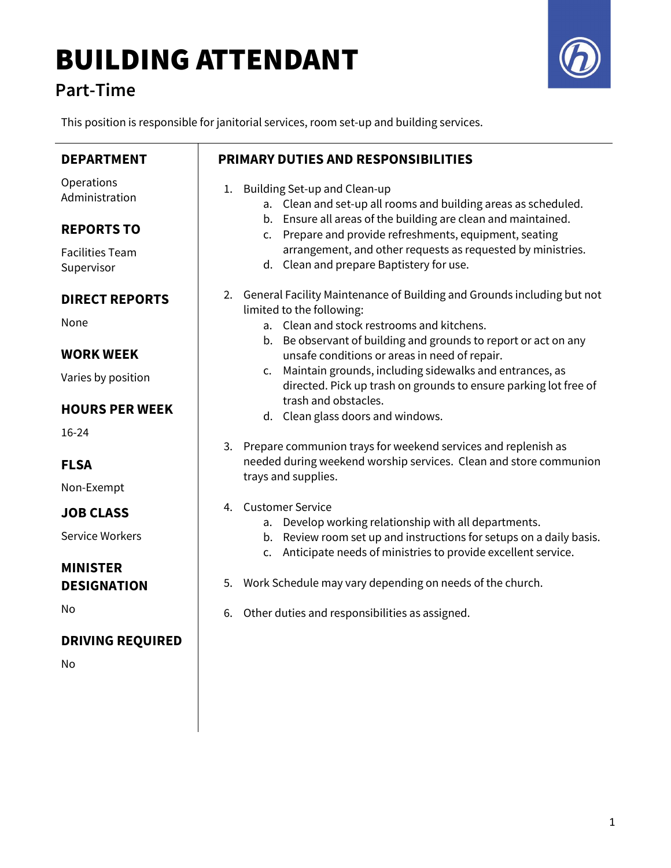# BUILDING ATTENDANT

### Part-Time



This position is responsible for janitorial services, room set-up and building services.

| <b>DEPARTMENT</b>                     | <b>PRIMARY DUTIES AND RESPONSIBILITIES</b>                                                                                                            |
|---------------------------------------|-------------------------------------------------------------------------------------------------------------------------------------------------------|
| Operations<br>Administration          | Building Set-up and Clean-up<br>1.<br>a. Clean and set-up all rooms and building areas as scheduled.                                                  |
| <b>REPORTS TO</b>                     | b. Ensure all areas of the building are clean and maintained.<br>c. Prepare and provide refreshments, equipment, seating                              |
| <b>Facilities Team</b><br>Supervisor  | arrangement, and other requests as requested by ministries.<br>d. Clean and prepare Baptistery for use.                                               |
| <b>DIRECT REPORTS</b>                 | 2. General Facility Maintenance of Building and Grounds including but not<br>limited to the following:                                                |
| None                                  | a. Clean and stock restrooms and kitchens.                                                                                                            |
| <b>WORK WEEK</b>                      | b. Be observant of building and grounds to report or act on any<br>unsafe conditions or areas in need of repair.                                      |
| Varies by position                    | Maintain grounds, including sidewalks and entrances, as<br>$\mathsf{C}$ .<br>directed. Pick up trash on grounds to ensure parking lot free of         |
| <b>HOURS PER WEEK</b>                 | trash and obstacles.<br>d. Clean glass doors and windows.                                                                                             |
| 16-24                                 | 3. Prepare communion trays for weekend services and replenish as                                                                                      |
| <b>FLSA</b>                           | needed during weekend worship services. Clean and store communion<br>trays and supplies.                                                              |
| Non-Exempt                            | <b>Customer Service</b><br>4.                                                                                                                         |
| <b>JOB CLASS</b>                      | Develop working relationship with all departments.<br>а.                                                                                              |
| <b>Service Workers</b>                | b. Review room set up and instructions for setups on a daily basis.<br>Anticipate needs of ministries to provide excellent service.<br>$\mathsf{C}$ . |
| <b>MINISTER</b><br><b>DESIGNATION</b> | Work Schedule may vary depending on needs of the church.<br>5.                                                                                        |
| No                                    | Other duties and responsibilities as assigned.<br>6.                                                                                                  |
| <b>DRIVING REQUIRED</b>               |                                                                                                                                                       |
| No                                    |                                                                                                                                                       |
|                                       |                                                                                                                                                       |
|                                       |                                                                                                                                                       |